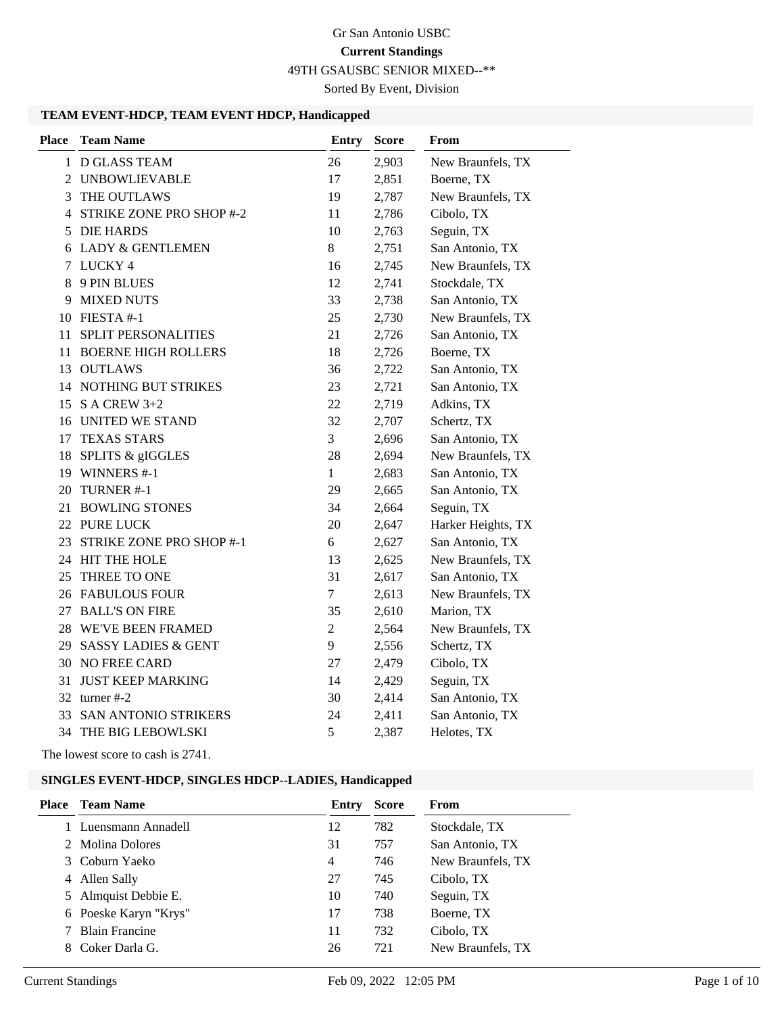49TH GSAUSBC SENIOR MIXED--\*\*

Sorted By Event, Division

#### **TEAM EVENT-HDCP, TEAM EVENT HDCP, Handicapped**

| <b>Place</b> | <b>Team Name</b>              | <b>Entry</b>   | <b>Score</b> | From               |
|--------------|-------------------------------|----------------|--------------|--------------------|
|              | 1 D GLASS TEAM                | 26             | 2,903        | New Braunfels, TX  |
| 2            | <b>UNBOWLIEVABLE</b>          | 17             | 2,851        | Boerne, TX         |
| 3            | THE OUTLAWS                   | 19             | 2,787        | New Braunfels, TX  |
| 4            | STRIKE ZONE PRO SHOP #-2      | 11             | 2,786        | Cibolo, TX         |
| 5            | <b>DIE HARDS</b>              | 10             | 2,763        | Seguin, TX         |
|              | 6 LADY & GENTLEMEN            | 8              | 2,751        | San Antonio, TX    |
| 7            | LUCKY <sub>4</sub>            | 16             | 2,745        | New Braunfels, TX  |
| 8            | 9 PIN BLUES                   | 12             | 2,741        | Stockdale, TX      |
|              | 9 MIXED NUTS                  | 33             | 2,738        | San Antonio, TX    |
|              | 10 FIESTA #-1                 | 25             | 2,730        | New Braunfels, TX  |
| 11           | <b>SPLIT PERSONALITIES</b>    | 21             | 2,726        | San Antonio, TX    |
| 11           | <b>BOERNE HIGH ROLLERS</b>    | 18             | 2,726        | Boerne, TX         |
| 13           | <b>OUTLAWS</b>                | 36             | 2,722        | San Antonio, TX    |
|              | <b>14 NOTHING BUT STRIKES</b> | 23             | 2,721        | San Antonio, TX    |
| 15           | S A CREW $3+2$                | 22             | 2,719        | Adkins, TX         |
|              | 16 UNITED WE STAND            | 32             | 2,707        | Schertz, TX        |
| 17           | <b>TEXAS STARS</b>            | 3              | 2,696        | San Antonio, TX    |
| 18           | SPLITS & gIGGLES              | 28             | 2,694        | New Braunfels, TX  |
|              | 19 WINNERS #-1                | $\mathbf{1}$   | 2,683        | San Antonio, TX    |
| 20           | TURNER #-1                    | 29             | 2,665        | San Antonio, TX    |
| 21           | <b>BOWLING STONES</b>         | 34             | 2,664        | Seguin, TX         |
| 22           | <b>PURE LUCK</b>              | 20             | 2,647        | Harker Heights, TX |
| 23           | STRIKE ZONE PRO SHOP #-1      | 6              | 2,627        | San Antonio, TX    |
|              | 24 HIT THE HOLE               | 13             | 2,625        | New Braunfels, TX  |
| 25           | THREE TO ONE                  | 31             | 2,617        | San Antonio, TX    |
|              | <b>26 FABULOUS FOUR</b>       | $\overline{7}$ | 2,613        | New Braunfels, TX  |
|              | 27 BALL'S ON FIRE             | 35             | 2,610        | Marion, TX         |
|              | 28 WE'VE BEEN FRAMED          | $\overline{2}$ | 2,564        | New Braunfels, TX  |
|              | 29 SASSY LADIES & GENT        | 9              | 2,556        | Schertz, TX        |
|              | <b>30 NO FREE CARD</b>        | 27             | 2,479        | Cibolo, TX         |
| 31           | <b>JUST KEEP MARKING</b>      | 14             | 2,429        | Seguin, TX         |
| 32           | turner #-2                    | 30             | 2,414        | San Antonio, TX    |
| 33           | SAN ANTONIO STRIKERS          | 24             | 2,411        | San Antonio, TX    |
|              | <b>34 THE BIG LEBOWLSKI</b>   | 5              | 2,387        | Helotes, TX        |
|              |                               |                |              |                    |

The lowest score to cash is 2741.

### **SINGLES EVENT-HDCP, SINGLES HDCP--LADIES, Handicapped**

| Place | Team Name             | Entry          | <b>Score</b> | From              |
|-------|-----------------------|----------------|--------------|-------------------|
|       | Luensmann Annadell    | 12             | 782          | Stockdale, TX     |
|       | 2 Molina Dolores      | 31             | 757          | San Antonio, TX   |
|       | 3 Coburn Yaeko        | $\overline{4}$ | 746          | New Braunfels, TX |
| 4     | Allen Sally           | 27             | 745          | Cibolo, TX        |
|       | 5 Almquist Debbie E.  | 10             | 740          | Seguin, TX        |
|       | 6 Poeske Karyn "Krys" | 17             | 738          | Boerne, TX        |
|       | <b>Blain Francine</b> | 11             | 732          | Cibolo, TX        |
|       | Coker Darla G.        | 26             | 721          | New Braunfels, TX |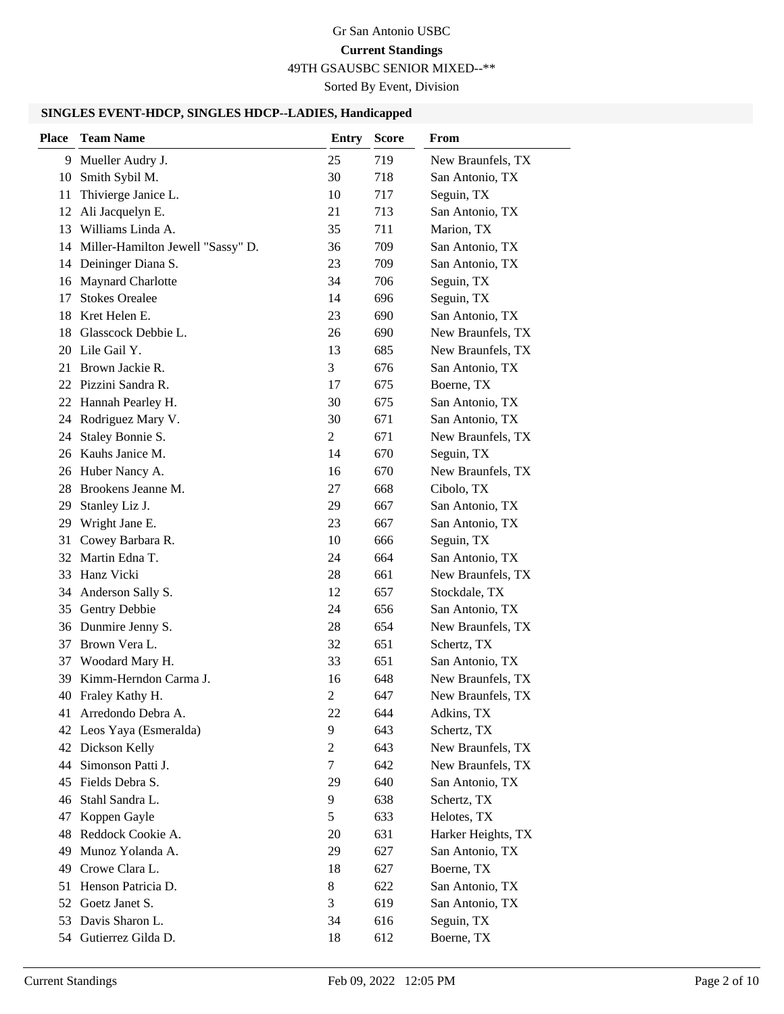49TH GSAUSBC SENIOR MIXED--\*\*

Sorted By Event, Division

#### **SINGLES EVENT-HDCP, SINGLES HDCP--LADIES, Handicapped**

| <b>Place</b> | <b>Team Name</b>                  | <b>Entry</b>   | <b>Score</b> | From               |
|--------------|-----------------------------------|----------------|--------------|--------------------|
| 9            | Mueller Audry J.                  | 25             | 719          | New Braunfels, TX  |
| 10           | Smith Sybil M.                    | 30             | 718          | San Antonio, TX    |
| 11           | Thivierge Janice L.               | 10             | 717          | Seguin, TX         |
| 12           | Ali Jacquelyn E.                  | 21             | 713          | San Antonio, TX    |
| 13           | Williams Linda A.                 | 35             | 711          | Marion, TX         |
| 14           | Miller-Hamilton Jewell "Sassy" D. | 36             | 709          | San Antonio, TX    |
| 14           | Deininger Diana S.                | 23             | 709          | San Antonio, TX    |
| 16           | Maynard Charlotte                 | 34             | 706          | Seguin, TX         |
| 17           | <b>Stokes Orealee</b>             | 14             | 696          | Seguin, TX         |
| 18           | Kret Helen E.                     | 23             | 690          | San Antonio, TX    |
| 18           | Glasscock Debbie L.               | 26             | 690          | New Braunfels, TX  |
| 20           | Lile Gail Y.                      | 13             | 685          | New Braunfels, TX  |
| 21           | Brown Jackie R.                   | 3              | 676          | San Antonio, TX    |
|              | 22 Pizzini Sandra R.              | 17             | 675          | Boerne, TX         |
|              | 22 Hannah Pearley H.              | 30             | 675          | San Antonio, TX    |
| 24           | Rodriguez Mary V.                 | 30             | 671          | San Antonio, TX    |
| 24           | Staley Bonnie S.                  | 2              | 671          | New Braunfels, TX  |
| 26           | Kauhs Janice M.                   | 14             | 670          | Seguin, TX         |
|              | 26 Huber Nancy A.                 | 16             | 670          | New Braunfels, TX  |
| 28           | Brookens Jeanne M.                | 27             | 668          | Cibolo, TX         |
| 29           | Stanley Liz J.                    | 29             | 667          | San Antonio, TX    |
| 29           | Wright Jane E.                    | 23             | 667          | San Antonio, TX    |
| 31           | Cowey Barbara R.                  | 10             | 666          | Seguin, TX         |
| 32           | Martin Edna T.                    | 24             | 664          | San Antonio, TX    |
| 33           | Hanz Vicki                        | 28             | 661          | New Braunfels, TX  |
| 34           | Anderson Sally S.                 | 12             | 657          | Stockdale, TX      |
| 35           | Gentry Debbie                     | 24             | 656          | San Antonio, TX    |
| 36           | Dunmire Jenny S.                  | 28             | 654          | New Braunfels, TX  |
| 37           | Brown Vera L.                     | 32             | 651          | Schertz, TX        |
| 37           | Woodard Mary H.                   | 33             | 651          | San Antonio, TX    |
| 39           | Kimm-Herndon Carma J.             | 16             | 648          | New Braunfels, TX  |
|              | 40 Fraley Kathy H.                | $\overline{c}$ | 647          | New Braunfels, TX  |
| 41           | Arredondo Debra A.                | 22             | 644          | Adkins, TX         |
| 42           | Leos Yaya (Esmeralda)             | 9              | 643          | Schertz, TX        |
|              | 42 Dickson Kelly                  | $\overline{c}$ | 643          | New Braunfels, TX  |
| 44           | Simonson Patti J.                 | $\tau$         | 642          | New Braunfels, TX  |
| 45           | Fields Debra S.                   | 29             | 640          | San Antonio, TX    |
| 46           | Stahl Sandra L.                   | 9              | 638          | Schertz, TX        |
| 47           | Koppen Gayle                      | 5              | 633          | Helotes, TX        |
| 48           | Reddock Cookie A.                 | 20             | 631          | Harker Heights, TX |
| 49           | Munoz Yolanda A.                  | 29             | 627          | San Antonio, TX    |
| 49           | Crowe Clara L.                    | 18             | 627          | Boerne, TX         |
| 51           | Henson Patricia D.                | $8\,$          | 622          | San Antonio, TX    |
| 52           | Goetz Janet S.                    | 3              | 619          | San Antonio, TX    |
| 53           | Davis Sharon L.                   | 34             | 616          | Seguin, TX         |
| 54           | Gutierrez Gilda D.                | 18             | 612          | Boerne, TX         |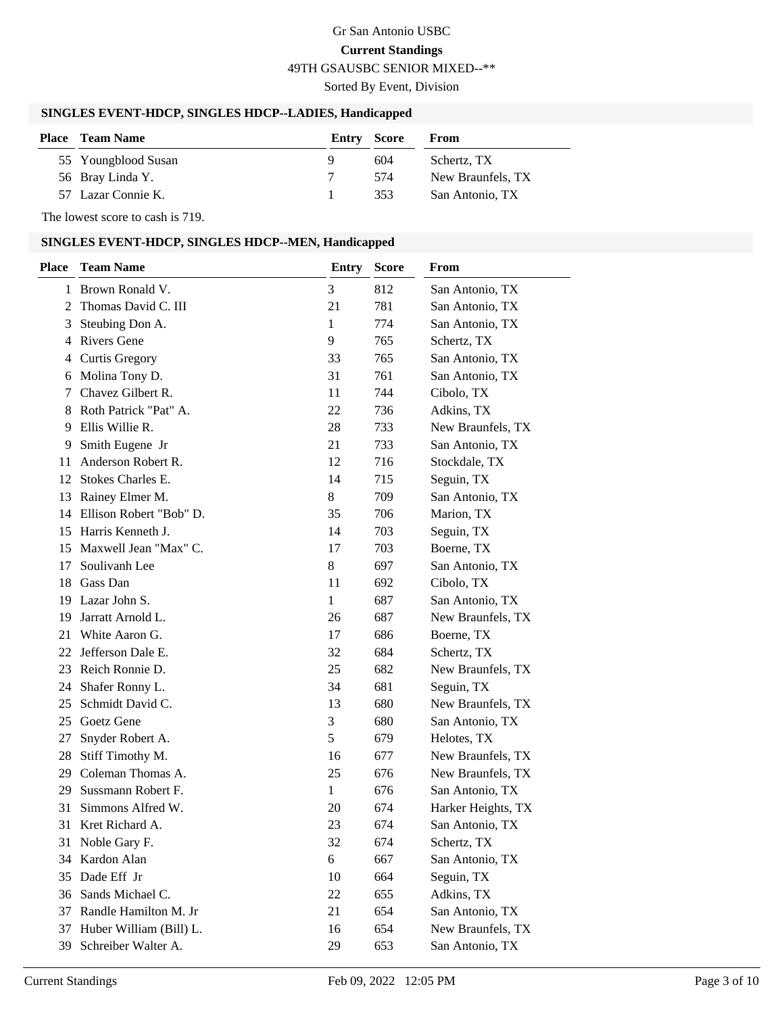### Gr San Antonio USBC **Current Standings** 49TH GSAUSBC SENIOR MIXED--\*\*

Sorted By Event, Division

#### **SINGLES EVENT-HDCP, SINGLES HDCP--LADIES, Handicapped**

| <b>Place</b> Team Name | Entry Score |     | From              |
|------------------------|-------------|-----|-------------------|
| 55 Youngblood Susan    | Q           | 604 | Schertz, TX       |
| 56 Bray Linda Y.       |             | 574 | New Braunfels, TX |
| 57 Lazar Connie K.     |             | 353 | San Antonio, TX   |

The lowest score to cash is 719.

### **SINGLES EVENT-HDCP, SINGLES HDCP--MEN, Handicapped**

| <b>Place</b> | <b>Team Name</b>        | <b>Entry</b> | <b>Score</b> | From               |
|--------------|-------------------------|--------------|--------------|--------------------|
|              | 1 Brown Ronald V.       | 3            | 812          | San Antonio, TX    |
| 2            | Thomas David C. III     | 21           | 781          | San Antonio, TX    |
| 3            | Steubing Don A.         | 1            | 774          | San Antonio, TX    |
| 4            | <b>Rivers Gene</b>      | 9            | 765          | Schertz, TX        |
| 4            | <b>Curtis Gregory</b>   | 33           | 765          | San Antonio, TX    |
| 6            | Molina Tony D.          | 31           | 761          | San Antonio, TX    |
| 7            | Chavez Gilbert R.       | 11           | 744          | Cibolo, TX         |
| 8            | Roth Patrick "Pat" A.   | 22           | 736          | Adkins, TX         |
| 9            | Ellis Willie R.         | 28           | 733          | New Braunfels, TX  |
| 9            | Smith Eugene Jr         | 21           | 733          | San Antonio, TX    |
| 11           | Anderson Robert R.      | 12           | 716          | Stockdale, TX      |
| 12           | Stokes Charles E.       | 14           | 715          | Seguin, TX         |
| 13           | Rainey Elmer M.         | 8            | 709          | San Antonio, TX    |
| 14           | Ellison Robert "Bob" D. | 35           | 706          | Marion, TX         |
| 15           | Harris Kenneth J.       | 14           | 703          | Seguin, TX         |
| 15           | Maxwell Jean "Max" C.   | 17           | 703          | Boerne, TX         |
| 17           | Soulivanh Lee           | 8            | 697          | San Antonio, TX    |
| 18           | Gass Dan                | 11           | 692          | Cibolo, TX         |
| 19           | Lazar John S.           | 1            | 687          | San Antonio, TX    |
| 19           | Jarratt Arnold L.       | 26           | 687          | New Braunfels, TX  |
| 21           | White Aaron G.          | 17           | 686          | Boerne, TX         |
| 22           | Jefferson Dale E.       | 32           | 684          | Schertz, TX        |
| 23           | Reich Ronnie D.         | 25           | 682          | New Braunfels, TX  |
| 24           | Shafer Ronny L.         | 34           | 681          | Seguin, TX         |
| 25           | Schmidt David C.        | 13           | 680          | New Braunfels, TX  |
| 25           | Goetz Gene              | 3            | 680          | San Antonio, TX    |
| 27           | Snyder Robert A.        | 5            | 679          | Helotes, TX        |
| 28           | Stiff Timothy M.        | 16           | 677          | New Braunfels, TX  |
| 29.          | Coleman Thomas A.       | 25           | 676          | New Braunfels, TX  |
| 29           | Sussmann Robert F.      | 1            | 676          | San Antonio, TX    |
| 31           | Simmons Alfred W.       | 20           | 674          | Harker Heights, TX |
| 31           | Kret Richard A.         | 23           | 674          | San Antonio, TX    |
|              | 31 Noble Gary F.        | 32           | 674          | Schertz, TX        |
| 34           | Kardon Alan             | 6            | 667          | San Antonio, TX    |
| 35           | Dade Eff Jr             | 10           | 664          | Seguin, TX         |
| 36           | Sands Michael C.        | 22           | 655          | Adkins, TX         |
| 37           | Randle Hamilton M. Jr   | 21           | 654          | San Antonio, TX    |
| 37           | Huber William (Bill) L. | 16           | 654          | New Braunfels, TX  |
| 39           | Schreiber Walter A.     | 29           | 653          | San Antonio, TX    |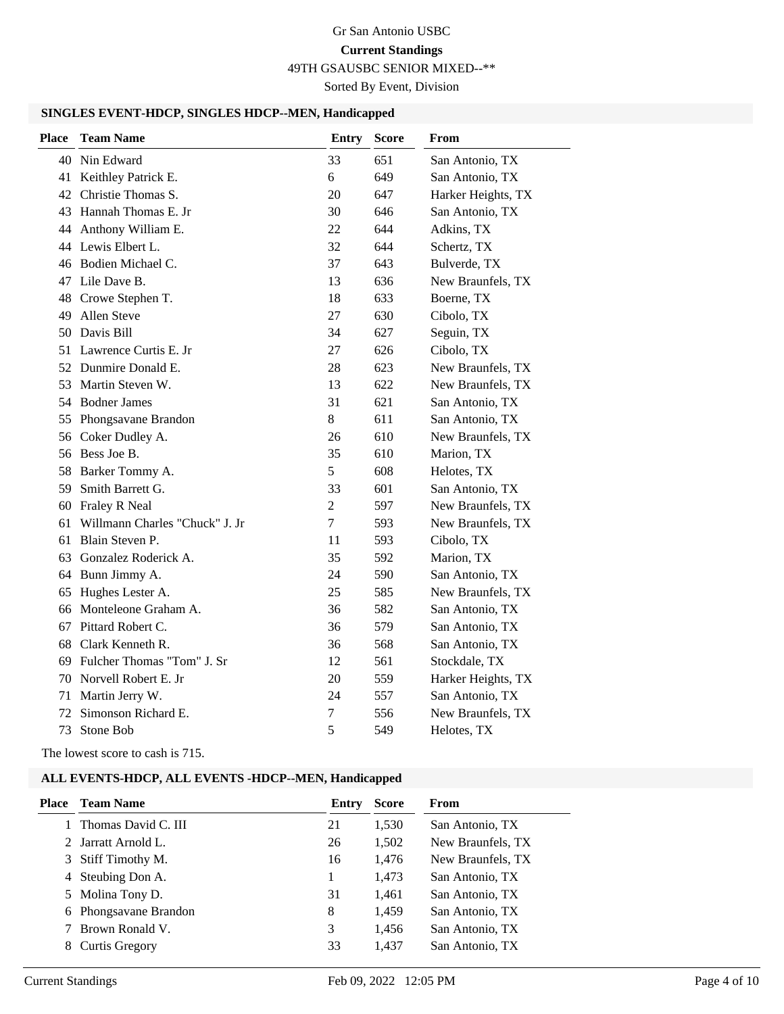49TH GSAUSBC SENIOR MIXED--\*\*

Sorted By Event, Division

#### **SINGLES EVENT-HDCP, SINGLES HDCP--MEN, Handicapped**

| <b>Place</b> | <b>Team Name</b>               | Entry          | <b>Score</b> | From               |
|--------------|--------------------------------|----------------|--------------|--------------------|
| 40           | Nin Edward                     | 33             | 651          | San Antonio, TX    |
| 41           | Keithley Patrick E.            | 6              | 649          | San Antonio, TX    |
|              | 42 Christie Thomas S.          | 20             | 647          | Harker Heights, TX |
|              | 43 Hannah Thomas E. Jr         | 30             | 646          | San Antonio, TX    |
|              | 44 Anthony William E.          | 22             | 644          | Adkins, TX         |
|              | 44 Lewis Elbert L.             | 32             | 644          | Schertz, TX        |
|              | 46 Bodien Michael C.           | 37             | 643          | Bulverde, TX       |
| 47           | Lile Dave B.                   | 13             | 636          | New Braunfels, TX  |
| 48           | Crowe Stephen T.               | 18             | 633          | Boerne, TX         |
| 49           | Allen Steve                    | 27             | 630          | Cibolo, TX         |
|              | 50 Davis Bill                  | 34             | 627          | Seguin, TX         |
| 51           | Lawrence Curtis E. Jr          | 27             | 626          | Cibolo, TX         |
|              | 52 Dunmire Donald E.           | 28             | 623          | New Braunfels, TX  |
| 53           | Martin Steven W.               | 13             | 622          | New Braunfels, TX  |
|              | 54 Bodner James                | 31             | 621          | San Antonio, TX    |
| 55           | Phongsavane Brandon            | 8              | 611          | San Antonio, TX    |
| 56           | Coker Dudley A.                | 26             | 610          | New Braunfels, TX  |
|              | 56 Bess Joe B.                 | 35             | 610          | Marion, TX         |
| 58           | Barker Tommy A.                | 5              | 608          | Helotes, TX        |
| 59           | Smith Barrett G.               | 33             | 601          | San Antonio, TX    |
| 60           | Fraley R Neal                  | $\overline{2}$ | 597          | New Braunfels, TX  |
| 61           | Willmann Charles "Chuck" J. Jr | $\overline{7}$ | 593          | New Braunfels, TX  |
| 61           | Blain Steven P.                | 11             | 593          | Cibolo, TX         |
|              | 63 Gonzalez Roderick A.        | 35             | 592          | Marion, TX         |
|              | 64 Bunn Jimmy A.               | 24             | 590          | San Antonio, TX    |
| 65           | Hughes Lester A.               | 25             | 585          | New Braunfels, TX  |
| 66           | Monteleone Graham A.           | 36             | 582          | San Antonio, TX    |
| 67           | Pittard Robert C.              | 36             | 579          | San Antonio, TX    |
| 68           | Clark Kenneth R.               | 36             | 568          | San Antonio, TX    |
| 69           | Fulcher Thomas "Tom" J. Sr     | 12             | 561          | Stockdale, TX      |
| 70           | Norvell Robert E. Jr           | 20             | 559          | Harker Heights, TX |
| 71           | Martin Jerry W.                | 24             | 557          | San Antonio, TX    |
| 72           | Simonson Richard E.            | 7              | 556          | New Braunfels, TX  |
| 73           | Stone Bob                      | 5              | 549          | Helotes, TX        |

The lowest score to cash is 715.

#### **ALL EVENTS-HDCP, ALL EVENTS -HDCP--MEN, Handicapped**

| Place | <b>Team Name</b>      | Entry | <b>Score</b> | From              |
|-------|-----------------------|-------|--------------|-------------------|
|       | Thomas David C. III   | 21    | 1,530        | San Antonio, TX   |
|       | 2 Jarratt Arnold L.   | 26    | 1,502        | New Braunfels, TX |
| 3     | Stiff Timothy M.      | 16    | 1,476        | New Braunfels, TX |
| 4     | Steubing Don A.       |       | 1,473        | San Antonio, TX   |
|       | 5 Molina Tony D.      | 31    | 1,461        | San Antonio, TX   |
|       | 6 Phongsavane Brandon | 8     | 1,459        | San Antonio, TX   |
|       | Brown Ronald V.       | 3     | 1,456        | San Antonio, TX   |
| 8     | Curtis Gregory        | 33    | 1.437        | San Antonio, TX   |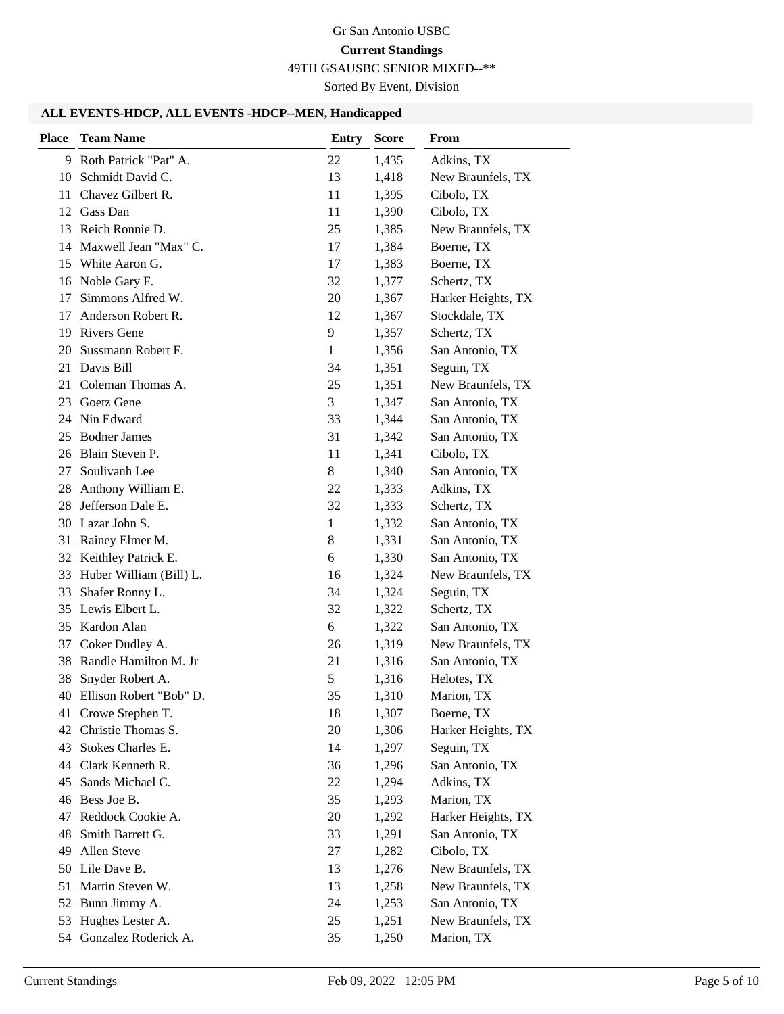49TH GSAUSBC SENIOR MIXED--\*\*

Sorted By Event, Division

#### **ALL EVENTS-HDCP, ALL EVENTS -HDCP--MEN, Handicapped**

| <b>Place</b> | <b>Team Name</b>           | <b>Entry</b> | <b>Score</b> | From               |
|--------------|----------------------------|--------------|--------------|--------------------|
|              | 9 Roth Patrick "Pat" A.    | 22           | 1,435        | Adkins, TX         |
|              | 10 Schmidt David C.        | 13           | 1,418        | New Braunfels, TX  |
| 11           | Chavez Gilbert R.          | 11           | 1,395        | Cibolo, TX         |
| 12           | Gass Dan                   | 11           | 1,390        | Cibolo, TX         |
| 13           | Reich Ronnie D.            | 25           | 1,385        | New Braunfels, TX  |
| 14           | Maxwell Jean "Max" C.      | 17           | 1,384        | Boerne, TX         |
| 15           | White Aaron G.             | 17           | 1,383        | Boerne, TX         |
|              | 16 Noble Gary F.           | 32           | 1,377        | Schertz, TX        |
| 17           | Simmons Alfred W.          | 20           | 1,367        | Harker Heights, TX |
| 17           | Anderson Robert R.         | 12           | 1,367        | Stockdale, TX      |
| 19           | <b>Rivers Gene</b>         | 9            | 1,357        | Schertz, TX        |
| 20           | Sussmann Robert F.         | $\mathbf{1}$ | 1,356        | San Antonio, TX    |
| 21           | Davis Bill                 | 34           | 1,351        | Seguin, TX         |
| 21           | Coleman Thomas A.          | 25           | 1,351        | New Braunfels, TX  |
| 23           | Goetz Gene                 | 3            | 1,347        | San Antonio, TX    |
| 24           | Nin Edward                 | 33           | 1,344        | San Antonio, TX    |
| 25           | <b>Bodner James</b>        | 31           | 1,342        | San Antonio, TX    |
|              | 26 Blain Steven P.         | 11           | 1,341        | Cibolo, TX         |
| 27           | Soulivanh Lee              | 8            | 1,340        | San Antonio, TX    |
| 28           | Anthony William E.         | 22           | 1,333        | Adkins, TX         |
| 28           | Jefferson Dale E.          | 32           | 1,333        | Schertz, TX        |
|              | 30 Lazar John S.           | 1            | 1,332        | San Antonio, TX    |
| 31           | Rainey Elmer M.            | 8            | 1,331        | San Antonio, TX    |
| 32           | Keithley Patrick E.        | 6            | 1,330        | San Antonio, TX    |
| 33           | Huber William (Bill) L.    | 16           | 1,324        | New Braunfels, TX  |
| 33           | Shafer Ronny L.            | 34           | 1,324        | Seguin, TX         |
| 35           | Lewis Elbert L.            | 32           | 1,322        | Schertz, TX        |
| 35           | Kardon Alan                | 6            | 1,322        | San Antonio, TX    |
| 37           | Coker Dudley A.            | 26           | 1,319        | New Braunfels, TX  |
|              | 38 Randle Hamilton M. Jr   | 21           | 1,316        | San Antonio, TX    |
| 38           | Snyder Robert A.           | 5            | 1,316        | Helotes, TX        |
|              | 40 Ellison Robert "Bob" D. | 35           | 1,310        | Marion, TX         |
|              | 41 Crowe Stephen T.        | 18           | 1,307        | Boerne, TX         |
|              | 42 Christie Thomas S.      | 20           | 1,306        | Harker Heights, TX |
| 43           | Stokes Charles E.          | 14           | 1,297        | Seguin, TX         |
| 44           | Clark Kenneth R.           | 36           | 1,296        | San Antonio, TX    |
| 45           | Sands Michael C.           | 22           | 1,294        | Adkins, TX         |
|              | 46 Bess Joe B.             | 35           | 1,293        | Marion, TX         |
| 47           | Reddock Cookie A.          | 20           | 1,292        | Harker Heights, TX |
| 48           | Smith Barrett G.           | 33           | 1,291        | San Antonio, TX    |
| 49           | Allen Steve                | 27           | 1,282        | Cibolo, TX         |
| 50           | Lile Dave B.               | 13           | 1,276        | New Braunfels, TX  |
| 51           | Martin Steven W.           | 13           | 1,258        | New Braunfels, TX  |
| 52           | Bunn Jimmy A.              | 24           | 1,253        | San Antonio, TX    |
| 53           | Hughes Lester A.           | 25           | 1,251        | New Braunfels, TX  |
|              | 54 Gonzalez Roderick A.    | 35           | 1,250        | Marion, TX         |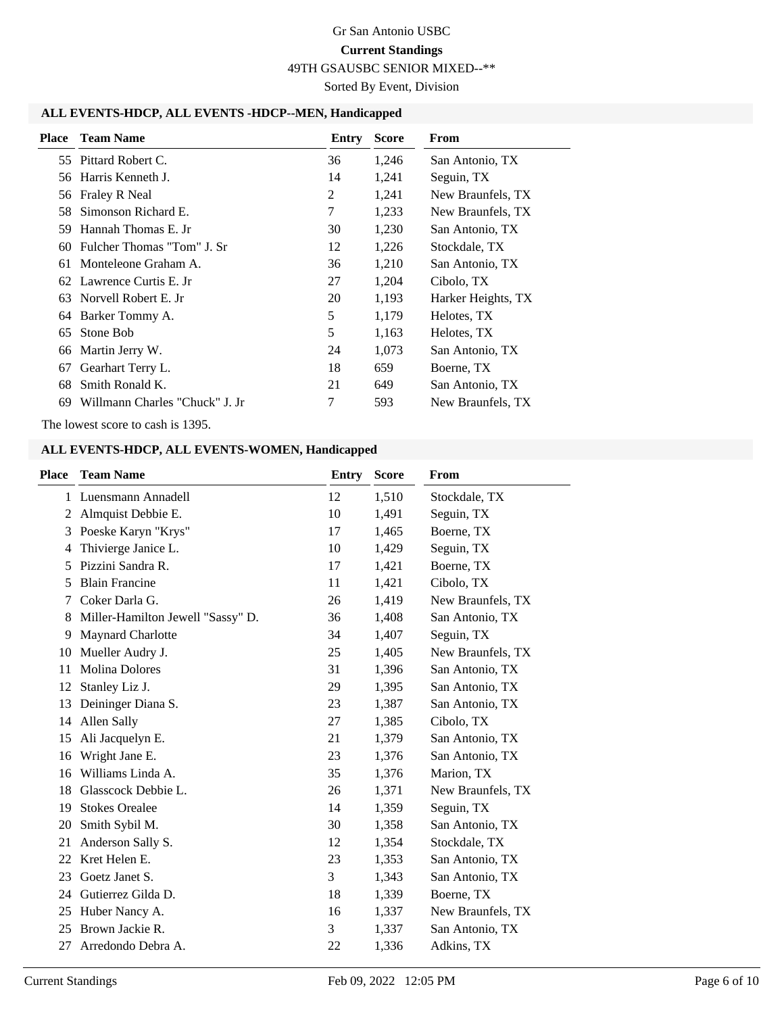49TH GSAUSBC SENIOR MIXED--\*\*

Sorted By Event, Division

#### **ALL EVENTS-HDCP, ALL EVENTS -HDCP--MEN, Handicapped**

|     | <b>Place</b> Team Name         | Entry | <b>Score</b> | From               |
|-----|--------------------------------|-------|--------------|--------------------|
|     | 55 Pittard Robert C.           | 36    | 1,246        | San Antonio, TX    |
|     | 56 Harris Kenneth J.           | 14    | 1,241        | Seguin, TX         |
|     | 56 Fraley R Neal               | 2     | 1,241        | New Braunfels, TX  |
| 58. | Simonson Richard E.            | 7     | 1,233        | New Braunfels, TX  |
| 59  | Hannah Thomas E. Jr            | 30    | 1,230        | San Antonio, TX    |
| 60  | Fulcher Thomas "Tom" J. Sr     | 12    | 1,226        | Stockdale, TX      |
| 61  | Monteleone Graham A.           | 36    | 1,210        | San Antonio, TX    |
|     | 62 Lawrence Curtis E. Jr       | 27    | 1,204        | Cibolo, TX         |
|     | 63 Norvell Robert E. Jr        | 20    | 1,193        | Harker Heights, TX |
|     | 64 Barker Tommy A.             | 5     | 1,179        | Helotes, TX        |
| 65  | Stone Bob                      | 5     | 1,163        | Helotes, TX        |
| 66  | Martin Jerry W.                | 24    | 1,073        | San Antonio, TX    |
| 67  | Gearhart Terry L.              | 18    | 659          | Boerne, TX         |
| 68  | Smith Ronald K.                | 21    | 649          | San Antonio, TX    |
| 69  | Willmann Charles "Chuck" J. Jr | 7     | 593          | New Braunfels, TX  |

The lowest score to cash is 1395.

#### **ALL EVENTS-HDCP, ALL EVENTS-WOMEN, Handicapped**

| <b>Place</b> | <b>Team Name</b>                  | <b>Entry</b> | <b>Score</b> | From              |
|--------------|-----------------------------------|--------------|--------------|-------------------|
| 1            | Luensmann Annadell                | 12           | 1,510        | Stockdale, TX     |
| 2            | Almquist Debbie E.                | 10           | 1,491        | Seguin, TX        |
| 3            | Poeske Karyn "Krys"               | 17           | 1,465        | Boerne, TX        |
| 4            | Thivierge Janice L.               | 10           | 1,429        | Seguin, TX        |
| 5            | Pizzini Sandra R.                 | 17           | 1,421        | Boerne, TX        |
| 5            | <b>Blain Francine</b>             | 11           | 1,421        | Cibolo, TX        |
|              | Coker Darla G.                    | 26           | 1,419        | New Braunfels, TX |
| 8            | Miller-Hamilton Jewell "Sassy" D. | 36           | 1,408        | San Antonio, TX   |
| 9            | Maynard Charlotte                 | 34           | 1,407        | Seguin, TX        |
| 10           | Mueller Audry J.                  | 25           | 1,405        | New Braunfels, TX |
| 11           | <b>Molina Dolores</b>             | 31           | 1,396        | San Antonio, TX   |
| 12           | Stanley Liz J.                    | 29           | 1,395        | San Antonio, TX   |
| 13           | Deininger Diana S.                | 23           | 1,387        | San Antonio, TX   |
| 14           | Allen Sally                       | 27           | 1,385        | Cibolo, TX        |
| 15           | Ali Jacquelyn E.                  | 21           | 1,379        | San Antonio, TX   |
| 16           | Wright Jane E.                    | 23           | 1,376        | San Antonio, TX   |
| 16           | Williams Linda A.                 | 35           | 1,376        | Marion, TX        |
| 18           | Glasscock Debbie L.               | 26           | 1,371        | New Braunfels, TX |
| 19           | <b>Stokes Orealee</b>             | 14           | 1,359        | Seguin, TX        |
| 20           | Smith Sybil M.                    | 30           | 1,358        | San Antonio, TX   |
| 21           | Anderson Sally S.                 | 12           | 1,354        | Stockdale, TX     |
| 22           | Kret Helen E.                     | 23           | 1,353        | San Antonio, TX   |
| 23           | Goetz Janet S.                    | 3            | 1,343        | San Antonio, TX   |
| 24           | Gutierrez Gilda D.                | 18           | 1,339        | Boerne, TX        |
| 25           | Huber Nancy A.                    | 16           | 1,337        | New Braunfels, TX |
| 25           | Brown Jackie R.                   | 3            | 1,337        | San Antonio, TX   |
| 27           | Arredondo Debra A.                | 22           | 1,336        | Adkins, TX        |
|              |                                   |              |              |                   |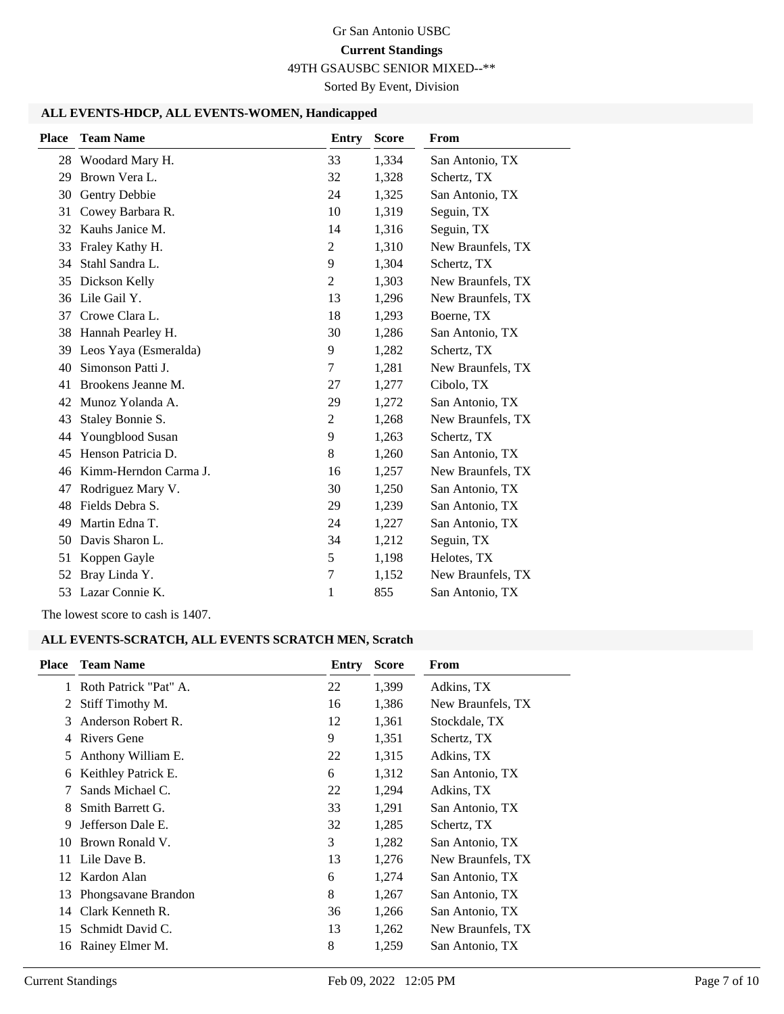49TH GSAUSBC SENIOR MIXED--\*\*

Sorted By Event, Division

#### **ALL EVENTS-HDCP, ALL EVENTS-WOMEN, Handicapped**

| <b>Place</b> | <b>Team Name</b>      | <b>Entry</b>     | <b>Score</b> | From              |
|--------------|-----------------------|------------------|--------------|-------------------|
| 28           | Woodard Mary H.       | 33               | 1,334        | San Antonio, TX   |
| 29           | Brown Vera L.         | 32               | 1,328        | Schertz, TX       |
| 30           | Gentry Debbie         | 24               | 1,325        | San Antonio, TX   |
| 31           | Cowey Barbara R.      | 10               | 1,319        | Seguin, TX        |
| 32           | Kauhs Janice M.       | 14               | 1,316        | Seguin, TX        |
| 33           | Fraley Kathy H.       | $\overline{2}$   | 1,310        | New Braunfels, TX |
| 34           | Stahl Sandra L.       | 9                | 1,304        | Schertz, TX       |
| 35           | Dickson Kelly         | 2                | 1,303        | New Braunfels, TX |
| 36           | Lile Gail Y.          | 13               | 1,296        | New Braunfels, TX |
| 37           | Crowe Clara L.        | 18               | 1,293        | Boerne, TX        |
| 38           | Hannah Pearley H.     | 30               | 1,286        | San Antonio, TX   |
| 39           | Leos Yaya (Esmeralda) | 9                | 1,282        | Schertz, TX       |
| 40           | Simonson Patti J.     | 7                | 1,281        | New Braunfels, TX |
| 41           | Brookens Jeanne M.    | 27               | 1,277        | Cibolo, TX        |
| 42           | Munoz Yolanda A.      | 29               | 1,272        | San Antonio, TX   |
| 43           | Staley Bonnie S.      | $\overline{2}$   | 1,268        | New Braunfels, TX |
| 44           | Youngblood Susan      | 9                | 1,263        | Schertz, TX       |
| 45           | Henson Patricia D.    | 8                | 1,260        | San Antonio, TX   |
| 46           | Kimm-Herndon Carma J. | 16               | 1,257        | New Braunfels, TX |
| 47           | Rodriguez Mary V.     | 30               | 1,250        | San Antonio, TX   |
| 48           | Fields Debra S.       | 29               | 1,239        | San Antonio, TX   |
| 49           | Martin Edna T.        | 24               | 1,227        | San Antonio, TX   |
| 50           | Davis Sharon L.       | 34               | 1,212        | Seguin, TX        |
| 51           | Koppen Gayle          | 5                | 1,198        | Helotes, TX       |
| 52           | Bray Linda Y.         | $\boldsymbol{7}$ | 1,152        | New Braunfels, TX |
| 53           | Lazar Connie K.       | 1                | 855          | San Antonio, TX   |

The lowest score to cash is 1407.

#### **ALL EVENTS-SCRATCH, ALL EVENTS SCRATCH MEN, Scratch**

| Place | <b>Team Name</b>      | Entry | <b>Score</b> | From              |
|-------|-----------------------|-------|--------------|-------------------|
| 1.    | Roth Patrick "Pat" A. | 22    | 1,399        | Adkins, TX        |
| 2     | Stiff Timothy M.      | 16    | 1,386        | New Braunfels, TX |
| 3     | Anderson Robert R.    | 12    | 1,361        | Stockdale, TX     |
| 4     | Rivers Gene           | 9     | 1,351        | Schertz, TX       |
| 5     | Anthony William E.    | 22    | 1,315        | Adkins, TX        |
| 6     | Keithley Patrick E.   | 6     | 1,312        | San Antonio, TX   |
| 7     | Sands Michael C.      | 22    | 1,294        | Adkins, TX        |
| 8     | Smith Barrett G.      | 33    | 1,291        | San Antonio, TX   |
| 9     | Jefferson Dale E.     | 32    | 1,285        | Schertz, TX       |
| 10    | Brown Ronald V.       | 3     | 1,282        | San Antonio, TX   |
| 11    | Lile Dave B.          | 13    | 1,276        | New Braunfels, TX |
| 12    | Kardon Alan           | 6     | 1,274        | San Antonio, TX   |
| 13    | Phongsavane Brandon   | 8     | 1,267        | San Antonio, TX   |
| 14    | Clark Kenneth R.      | 36    | 1,266        | San Antonio, TX   |
| 15    | Schmidt David C.      | 13    | 1,262        | New Braunfels, TX |
| 16    | Rainey Elmer M.       | 8     | 1,259        | San Antonio, TX   |
|       |                       |       |              |                   |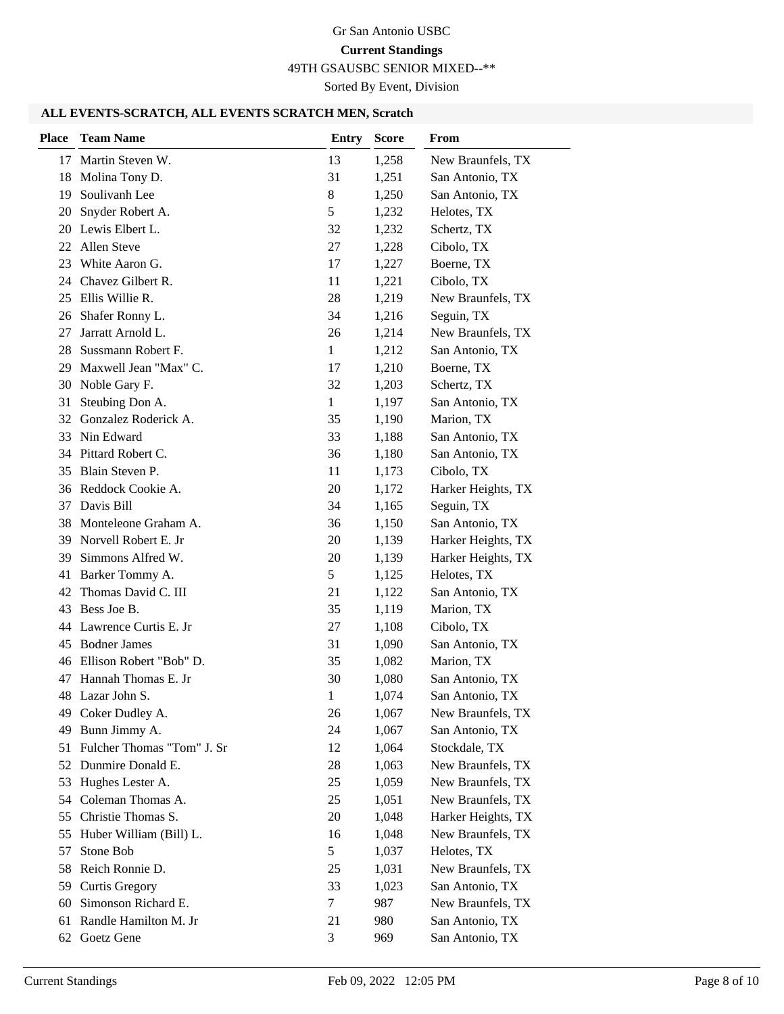49TH GSAUSBC SENIOR MIXED--\*\*

Sorted By Event, Division

#### **ALL EVENTS-SCRATCH, ALL EVENTS SCRATCH MEN, Scratch**

| <b>Place</b> | <b>Team Name</b>              | <b>Entry</b> | <b>Score</b> | From               |
|--------------|-------------------------------|--------------|--------------|--------------------|
|              | 17 Martin Steven W.           | 13           | 1,258        | New Braunfels, TX  |
| 18           | Molina Tony D.                | 31           | 1,251        | San Antonio, TX    |
| 19           | Soulivanh Lee                 | 8            | 1,250        | San Antonio, TX    |
| 20           | Snyder Robert A.              | 5            | 1,232        | Helotes, TX        |
| 20           | Lewis Elbert L.               | 32           | 1,232        | Schertz, TX        |
|              | 22 Allen Steve                | 27           | 1,228        | Cibolo, TX         |
| 23           | White Aaron G.                | 17           | 1,227        | Boerne, TX         |
| 24           | Chavez Gilbert R.             | 11           | 1,221        | Cibolo, TX         |
| 25           | Ellis Willie R.               | 28           | 1,219        | New Braunfels, TX  |
| 26           | Shafer Ronny L.               | 34           | 1,216        | Seguin, TX         |
| 27           | Jarratt Arnold L.             | 26           | 1,214        | New Braunfels, TX  |
| 28           | Sussmann Robert F.            | $\mathbf{1}$ | 1,212        | San Antonio, TX    |
| 29           | Maxwell Jean "Max" C.         | 17           | 1,210        | Boerne, TX         |
| 30           | Noble Gary F.                 | 32           | 1,203        | Schertz, TX        |
| 31           | Steubing Don A.               | $\mathbf{1}$ | 1,197        | San Antonio, TX    |
| 32           | Gonzalez Roderick A.          | 35           | 1,190        | Marion, TX         |
| 33           | Nin Edward                    | 33           | 1,188        | San Antonio, TX    |
|              | 34 Pittard Robert C.          | 36           | 1,180        | San Antonio, TX    |
|              | 35 Blain Steven P.            | 11           | 1,173        | Cibolo, TX         |
|              | 36 Reddock Cookie A.          | 20           | 1,172        | Harker Heights, TX |
| 37           | Davis Bill                    | 34           | 1,165        | Seguin, TX         |
| 38           | Monteleone Graham A.          | 36           | 1,150        | San Antonio, TX    |
|              | 39 Norvell Robert E. Jr       | 20           | 1,139        | Harker Heights, TX |
| 39           | Simmons Alfred W.             | 20           | 1,139        | Harker Heights, TX |
| 41           | Barker Tommy A.               | 5            | 1,125        | Helotes, TX        |
| 42           | Thomas David C. III           | 21           | 1,122        | San Antonio, TX    |
| 43           | Bess Joe B.                   | 35           | 1,119        | Marion, TX         |
| 44           | Lawrence Curtis E. Jr         | 27           | 1,108        | Cibolo, TX         |
| 45           | <b>Bodner James</b>           | 31           | 1,090        | San Antonio, TX    |
|              | 46 Ellison Robert "Bob" D.    | 35           | 1,082        | Marion, TX         |
|              | 47 Hannah Thomas E. Jr        | 30           | 1,080        | San Antonio, TX    |
|              | 48 Lazar John S.              | 1            | 1,074        | San Antonio, TX    |
|              | 49 Coker Dudley A.            | 26           | 1,067        | New Braunfels, TX  |
| 49           | Bunn Jimmy A.                 | 24           | 1,067        | San Antonio, TX    |
|              | 51 Fulcher Thomas "Tom" J. Sr | 12           | 1,064        | Stockdale, TX      |
|              | 52 Dunmire Donald E.          | 28           | 1,063        | New Braunfels, TX  |
| 53           | Hughes Lester A.              | 25           | 1,059        | New Braunfels, TX  |
| 54           | Coleman Thomas A.             | 25           | 1,051        | New Braunfels, TX  |
| 55           | Christie Thomas S.            | 20           | 1,048        | Harker Heights, TX |
| 55           | Huber William (Bill) L.       | 16           | 1,048        | New Braunfels, TX  |
| 57           | Stone Bob                     | 5            | 1,037        | Helotes, TX        |
| 58           | Reich Ronnie D.               | 25           | 1,031        | New Braunfels, TX  |
|              | 59 Curtis Gregory             | 33           | 1,023        | San Antonio, TX    |
| 60           | Simonson Richard E.           | 7            | 987          | New Braunfels, TX  |
| 61           | Randle Hamilton M. Jr         | 21           | 980          | San Antonio, TX    |
| 62           | Goetz Gene                    | 3            | 969          | San Antonio, TX    |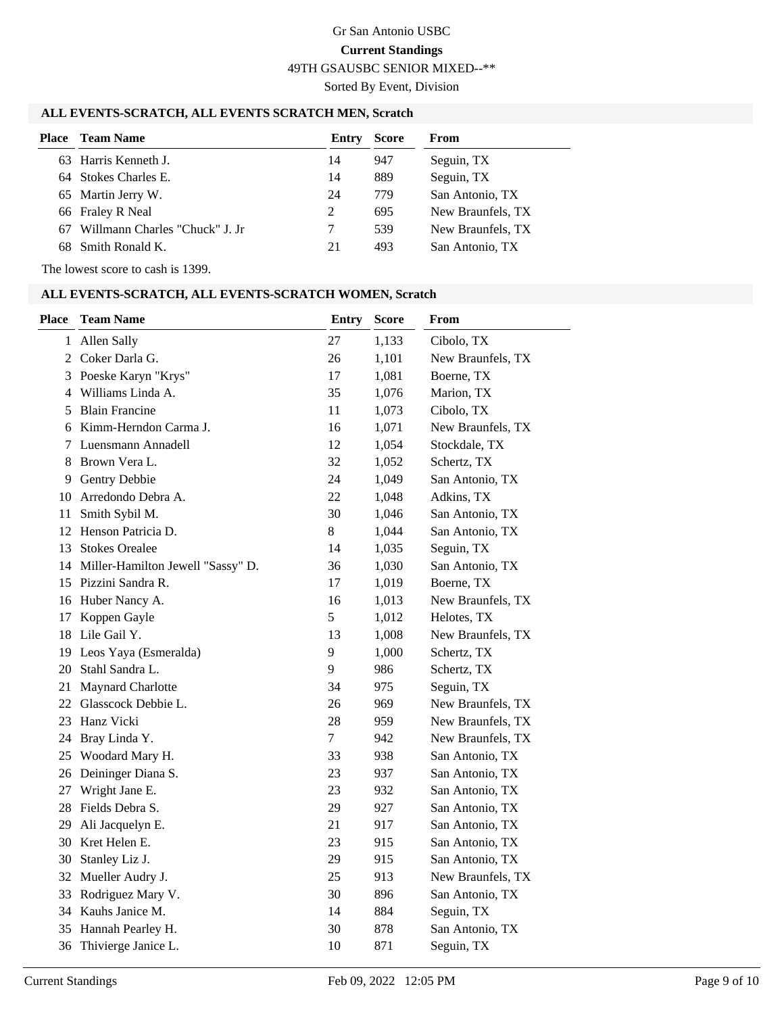49TH GSAUSBC SENIOR MIXED--\*\*

Sorted By Event, Division

#### **ALL EVENTS-SCRATCH, ALL EVENTS SCRATCH MEN, Scratch**

| Place | <b>Team Name</b>               | Entry | <b>Score</b> | From              |
|-------|--------------------------------|-------|--------------|-------------------|
|       | 63 Harris Kenneth J.           | 14    | 947          | Seguin, TX        |
|       | 64 Stokes Charles E.           | 14    | 889          | Seguin, TX        |
|       | 65 Martin Jerry W.             | 24    | 779          | San Antonio, TX   |
|       | 66 Fraley R Neal               | 2     | 695          | New Braunfels, TX |
| 67.   | Willmann Charles "Chuck" J. Jr |       | 539          | New Braunfels, TX |
|       | 68 Smith Ronald K.             | 21    | 493          | San Antonio, TX   |

The lowest score to cash is 1399.

#### **ALL EVENTS-SCRATCH, ALL EVENTS-SCRATCH WOMEN, Scratch**

| <b>Place</b> | <b>Team Name</b>                     | <b>Entry</b>   | <b>Score</b> | From              |
|--------------|--------------------------------------|----------------|--------------|-------------------|
|              | 1 Allen Sally                        | 27             | 1,133        | Cibolo, TX        |
|              | 2 Coker Darla G.                     | 26             | 1,101        | New Braunfels, TX |
| 3            | Poeske Karyn "Krys"                  | 17             | 1,081        | Boerne, TX        |
|              | 4 Williams Linda A.                  | 35             | 1,076        | Marion, TX        |
| 5            | <b>Blain Francine</b>                | 11             | 1,073        | Cibolo, TX        |
| 6            | Kimm-Herndon Carma J.                | 16             | 1,071        | New Braunfels, TX |
| 7            | Luensmann Annadell                   | 12             | 1,054        | Stockdale, TX     |
| 8            | Brown Vera L.                        | 32             | 1,052        | Schertz, TX       |
| 9            | <b>Gentry Debbie</b>                 | 24             | 1,049        | San Antonio, TX   |
| 10           | Arredondo Debra A.                   | 22             | 1,048        | Adkins, TX        |
| 11           | Smith Sybil M.                       | 30             | 1,046        | San Antonio, TX   |
|              | 12 Henson Patricia D.                | $8\,$          | 1,044        | San Antonio, TX   |
| 13           | <b>Stokes Orealee</b>                | 14             | 1,035        | Seguin, TX        |
|              | 14 Miller-Hamilton Jewell "Sassy" D. | 36             | 1,030        | San Antonio, TX   |
|              | 15 Pizzini Sandra R.                 | 17             | 1,019        | Boerne, TX        |
| 16           | Huber Nancy A.                       | 16             | 1,013        | New Braunfels, TX |
| 17           | Koppen Gayle                         | 5              | 1,012        | Helotes, TX       |
| 18           | Lile Gail Y.                         | 13             | 1,008        | New Braunfels, TX |
|              | 19 Leos Yaya (Esmeralda)             | 9              | 1,000        | Schertz, TX       |
| 20           | Stahl Sandra L.                      | 9              | 986          | Schertz, TX       |
| 21           | Maynard Charlotte                    | 34             | 975          | Seguin, TX        |
|              | 22 Glasscock Debbie L.               | 26             | 969          | New Braunfels, TX |
| 23           | Hanz Vicki                           | 28             | 959          | New Braunfels, TX |
| 24           | Bray Linda Y.                        | $\overline{7}$ | 942          | New Braunfels, TX |
| 25           | Woodard Mary H.                      | 33             | 938          | San Antonio, TX   |
| 26           | Deininger Diana S.                   | 23             | 937          | San Antonio, TX   |
| 27           | Wright Jane E.                       | 23             | 932          | San Antonio, TX   |
| 28           | Fields Debra S.                      | 29             | 927          | San Antonio, TX   |
| 29           | Ali Jacquelyn E.                     | 21             | 917          | San Antonio, TX   |
| 30           | Kret Helen E.                        | 23             | 915          | San Antonio, TX   |
| 30           | Stanley Liz J.                       | 29             | 915          | San Antonio, TX   |
|              | 32 Mueller Audry J.                  | 25             | 913          | New Braunfels, TX |
| 33           | Rodriguez Mary V.                    | 30             | 896          | San Antonio, TX   |
| 34           | Kauhs Janice M.                      | 14             | 884          | Seguin, TX        |
| 35           | Hannah Pearley H.                    | 30             | 878          | San Antonio, TX   |
| 36           | Thivierge Janice L.                  | 10             | 871          | Seguin, TX        |